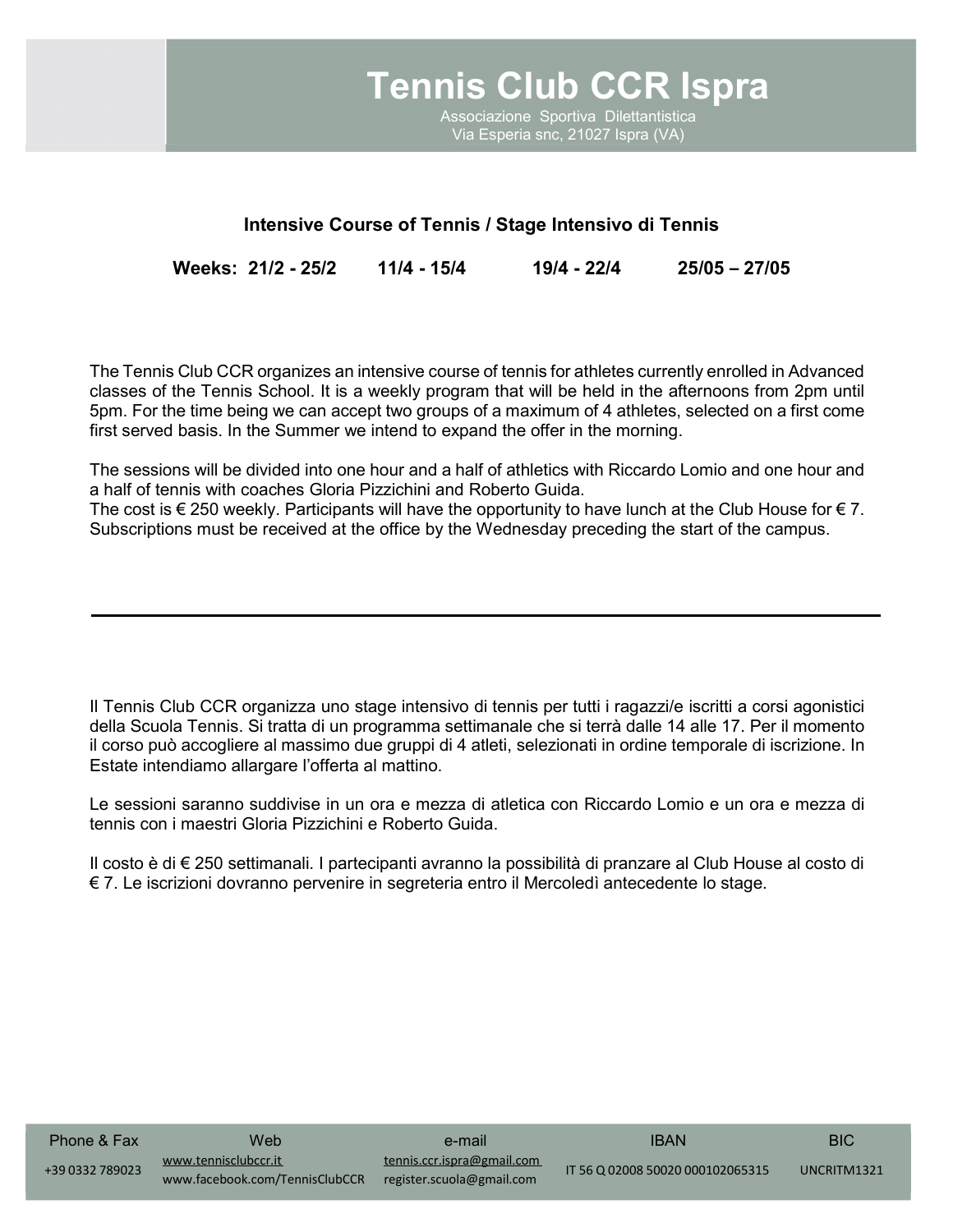

Associazione Sportiva Dilettantistica Associazione Sportiva Dilettantistica Via Esperia snc, 21027 Ispra (VA) Via Esperia snc, 21027 Ispra (VA)

## Intensive Course of Tennis / Stage Intensivo di Tennis

Weeks: 21/2 - 25/2 11/4 - 15/4 19/4 - 22/4 25/05 – 27/05

The Tennis Club CCR organizes an intensive course of tennis for athletes currently enrolled in Advanced classes of the Tennis School. It is a weekly program that will be held in the afternoons from 2pm until 5pm. For the time being we can accept two groups of a maximum of 4 athletes, selected on a first come first served basis. In the Summer we intend to expand the offer in the morning.

The sessions will be divided into one hour and a half of athletics with Riccardo Lomio and one hour and a half of tennis with coaches Gloria Pizzichini and Roberto Guida.

The cost is  $\epsilon$  250 weekly. Participants will have the opportunity to have lunch at the Club House for  $\epsilon$  7. Subscriptions must be received at the office by the Wednesday preceding the start of the campus.

Il Tennis Club CCR organizza uno stage intensivo di tennis per tutti i ragazzi/e iscritti a corsi agonistici della Scuola Tennis. Si tratta di un programma settimanale che si terrà dalle 14 alle 17. Per il momento il corso può accogliere al massimo due gruppi di 4 atleti, selezionati in ordine temporale di iscrizione. In Estate intendiamo allargare l'offerta al mattino.

Le sessioni saranno suddivise in un ora e mezza di atletica con Riccardo Lomio e un ora e mezza di tennis con i maestri Gloria Pizzichini e Roberto Guida.

Il costo è di € 250 settimanali. I partecipanti avranno la possibilità di pranzare al Club House al costo di € 7. Le iscrizioni dovranno pervenire in segreteria entro il Mercoledì antecedente lo stage.